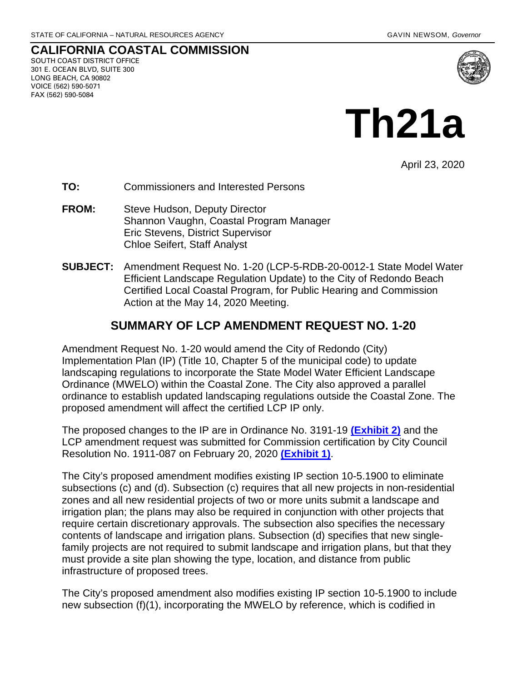#### **CALIFORNIA COASTAL COMMISSION** SOUTH COAST DISTRICT OFFICE

301 E. OCEAN BLVD, SUITE 300 LONG BEACH, CA 90802 VOICE (562) 590-5071 FAX (562) 590-5084



**Th21a**

April 23, 2020

- **TO:** Commissioners and Interested Persons
- **FROM:** Steve Hudson, Deputy Director Shannon Vaughn, Coastal Program Manager Eric Stevens, District Supervisor Chloe Seifert, Staff Analyst
- **SUBJECT:** Amendment Request No. 1-20 (LCP-5-RDB-20-0012-1 State Model Water Efficient Landscape Regulation Update) to the City of Redondo Beach Certified Local Coastal Program, for Public Hearing and Commission Action at the May 14, 2020 Meeting.

### **SUMMARY OF LCP AMENDMENT REQUEST NO. 1-20**

Amendment Request No. 1-20 would amend the City of Redondo (City) Implementation Plan (IP) (Title 10, Chapter 5 of the municipal code) to update landscaping regulations to incorporate the State Model Water Efficient Landscape Ordinance (MWELO) within the Coastal Zone. The City also approved a parallel ordinance to establish updated landscaping regulations outside the Coastal Zone. The proposed amendment will affect the certified LCP IP only.

The proposed changes to the IP are in Ordinance No. 3191-19 **[\(Exhibit 2\)](https://documents.coastal.ca.gov/reports/2020/5/Th21a/Th21a-5-2020-exhibits.pdf)** and the LCP amendment request was submitted for Commission certification by City Council Resolution No. 1911-087 on February 20, 2020 **[\(Exhibit 1\)](https://documents.coastal.ca.gov/reports/2020/5/Th21a/Th21a-5-2020-exhibits.pdf)**.

The City's proposed amendment modifies existing IP section 10-5.1900 to eliminate subsections (c) and (d). Subsection (c) requires that all new projects in non-residential zones and all new residential projects of two or more units submit a landscape and irrigation plan; the plans may also be required in conjunction with other projects that require certain discretionary approvals. The subsection also specifies the necessary contents of landscape and irrigation plans. Subsection (d) specifies that new singlefamily projects are not required to submit landscape and irrigation plans, but that they must provide a site plan showing the type, location, and distance from public infrastructure of proposed trees.

The City's proposed amendment also modifies existing IP section 10-5.1900 to include new subsection (f)(1), incorporating the MWELO by reference, which is codified in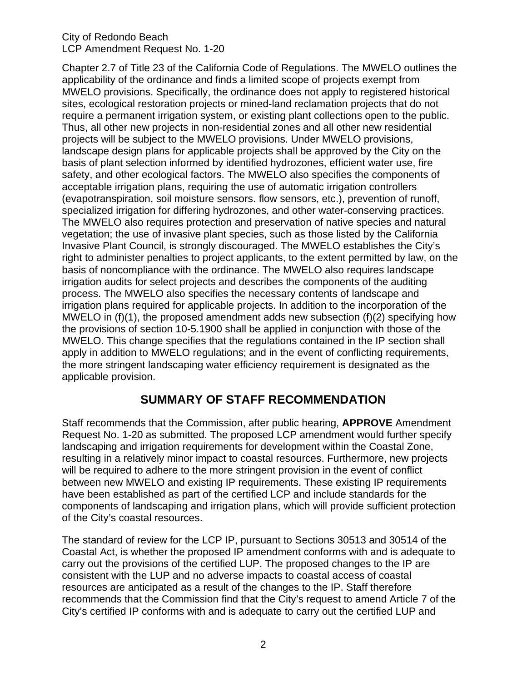#### City of Redondo Beach LCP Amendment Request No. 1-20

Chapter 2.7 of Title 23 of the California Code of Regulations. The MWELO outlines the applicability of the ordinance and finds a limited scope of projects exempt from MWELO provisions. Specifically, the ordinance does not apply to registered historical sites, ecological restoration projects or mined-land reclamation projects that do not require a permanent irrigation system, or existing plant collections open to the public. Thus, all other new projects in non-residential zones and all other new residential projects will be subject to the MWELO provisions. Under MWELO provisions, landscape design plans for applicable projects shall be approved by the City on the basis of plant selection informed by identified hydrozones, efficient water use, fire safety, and other ecological factors. The MWELO also specifies the components of acceptable irrigation plans, requiring the use of automatic irrigation controllers (evapotranspiration, soil moisture sensors. flow sensors, etc.), prevention of runoff, specialized irrigation for differing hydrozones, and other water-conserving practices. The MWELO also requires protection and preservation of native species and natural vegetation; the use of invasive plant species, such as those listed by the California Invasive Plant Council, is strongly discouraged. The MWELO establishes the City's right to administer penalties to project applicants, to the extent permitted by law, on the basis of noncompliance with the ordinance. The MWELO also requires landscape irrigation audits for select projects and describes the components of the auditing process. The MWELO also specifies the necessary contents of landscape and irrigation plans required for applicable projects. In addition to the incorporation of the MWELO in (f)(1), the proposed amendment adds new subsection (f)(2) specifying how the provisions of section 10-5.1900 shall be applied in conjunction with those of the MWELO. This change specifies that the regulations contained in the IP section shall apply in addition to MWELO regulations; and in the event of conflicting requirements, the more stringent landscaping water efficiency requirement is designated as the applicable provision.

# **SUMMARY OF STAFF RECOMMENDATION**

Staff recommends that the Commission, after public hearing, **APPROVE** Amendment Request No. 1-20 as submitted. The proposed LCP amendment would further specify landscaping and irrigation requirements for development within the Coastal Zone, resulting in a relatively minor impact to coastal resources. Furthermore, new projects will be required to adhere to the more stringent provision in the event of conflict between new MWELO and existing IP requirements. These existing IP requirements have been established as part of the certified LCP and include standards for the components of landscaping and irrigation plans, which will provide sufficient protection of the City's coastal resources.

The standard of review for the LCP IP, pursuant to Sections 30513 and 30514 of the Coastal Act, is whether the proposed IP amendment conforms with and is adequate to carry out the provisions of the certified LUP. The proposed changes to the IP are consistent with the LUP and no adverse impacts to coastal access of coastal resources are anticipated as a result of the changes to the IP. Staff therefore recommends that the Commission find that the City's request to amend Article 7 of the City's certified IP conforms with and is adequate to carry out the certified LUP and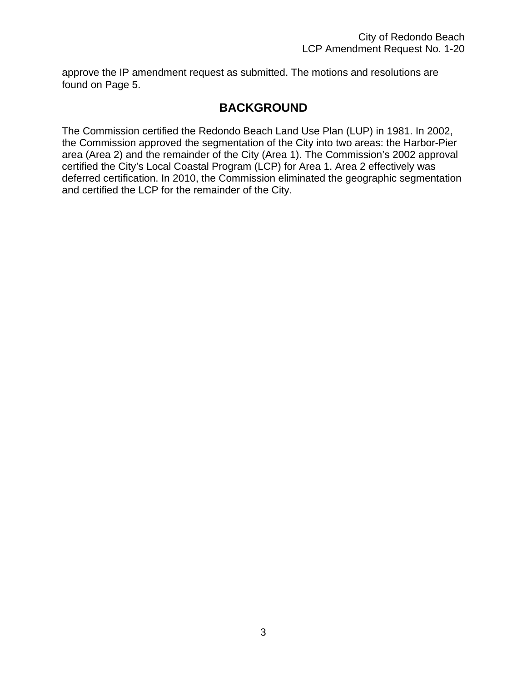approve the IP amendment request as submitted. The motions and resolutions are found on Page 5.

# **BACKGROUND**

The Commission certified the Redondo Beach Land Use Plan (LUP) in 1981. In 2002, the Commission approved the segmentation of the City into two areas: the Harbor-Pier area (Area 2) and the remainder of the City (Area 1). The Commission's 2002 approval certified the City's Local Coastal Program (LCP) for Area 1. Area 2 effectively was deferred certification. In 2010, the Commission eliminated the geographic segmentation and certified the LCP for the remainder of the City.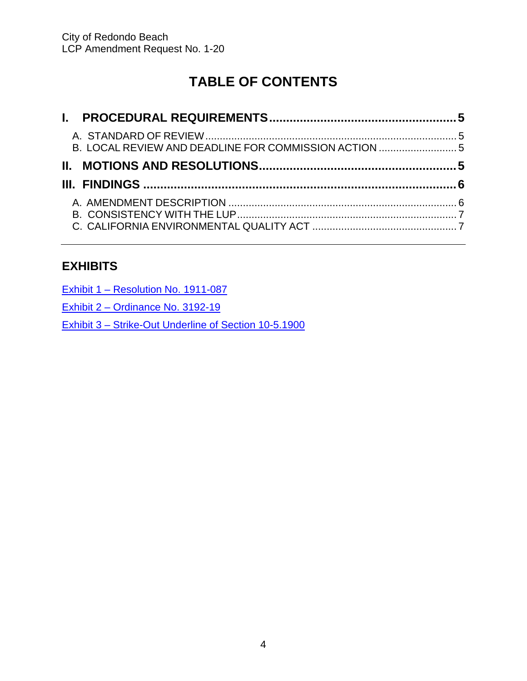# **TABLE OF CONTENTS**

| B. LOCAL REVIEW AND DEADLINE FOR COMMISSION ACTION  5 |  |
|-------------------------------------------------------|--|
|                                                       |  |
|                                                       |  |
|                                                       |  |

# **EXHIBITS**

|  |  | Exhibit 1 - Resolution No. 1911-087 |  |  |
|--|--|-------------------------------------|--|--|
|--|--|-------------------------------------|--|--|

[Exhibit 2 – Ordinance No. 3192-19](https://documents.coastal.ca.gov/reports/2020/5/Th21a/Th21a-5-2020-exhibits.pdf) 

[Exhibit 3 – Strike-Out Underline of Section 10-5.1900](https://documents.coastal.ca.gov/reports/2020/5/Th21a/Th21a-5-2020-exhibits.pdf)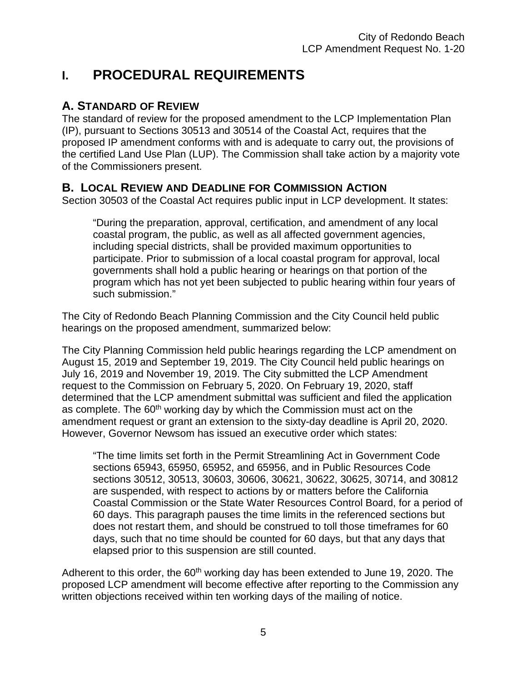# <span id="page-4-0"></span>**I. PROCEDURAL REQUIREMENTS**

# <span id="page-4-1"></span>**A. STANDARD OF REVIEW**

The standard of review for the proposed amendment to the LCP Implementation Plan (IP), pursuant to Sections 30513 and 30514 of the Coastal Act, requires that the proposed IP amendment conforms with and is adequate to carry out, the provisions of the certified Land Use Plan (LUP). The Commission shall take action by a majority vote of the Commissioners present.

## <span id="page-4-2"></span>**B. LOCAL REVIEW AND DEADLINE FOR COMMISSION ACTION**

Section 30503 of the Coastal Act requires public input in LCP development. It states:

"During the preparation, approval, certification, and amendment of any local coastal program, the public, as well as all affected government agencies, including special districts, shall be provided maximum opportunities to participate. Prior to submission of a local coastal program for approval, local governments shall hold a public hearing or hearings on that portion of the program which has not yet been subjected to public hearing within four years of such submission."

The City of Redondo Beach Planning Commission and the City Council held public hearings on the proposed amendment, summarized below:

The City Planning Commission held public hearings regarding the LCP amendment on August 15, 2019 and September 19, 2019. The City Council held public hearings on July 16, 2019 and November 19, 2019. The City submitted the LCP Amendment request to the Commission on February 5, 2020. On February 19, 2020, staff determined that the LCP amendment submittal was sufficient and filed the application as complete. The 60<sup>th</sup> working day by which the Commission must act on the amendment request or grant an extension to the sixty-day deadline is April 20, 2020. However, Governor Newsom has issued an executive order which states:

<span id="page-4-3"></span>"The time limits set forth in the Permit Streamlining Act in Government Code sections 65943, 65950, 65952, and 65956, and in Public Resources Code sections 30512, 30513, 30603, 30606, 30621, 30622, 30625, 30714, and 30812 are suspended, with respect to actions by or matters before the California Coastal Commission or the State Water Resources Control Board, for a period of 60 days. This paragraph pauses the time limits in the referenced sections but does not restart them, and should be construed to toll those timeframes for 60 days, such that no time should be counted for 60 days, but that any days that elapsed prior to this suspension are still counted.

Adherent to this order, the  $60<sup>th</sup>$  working day has been extended to June 19, 2020. The proposed LCP amendment will become effective after reporting to the Commission any written objections received within ten working days of the mailing of notice.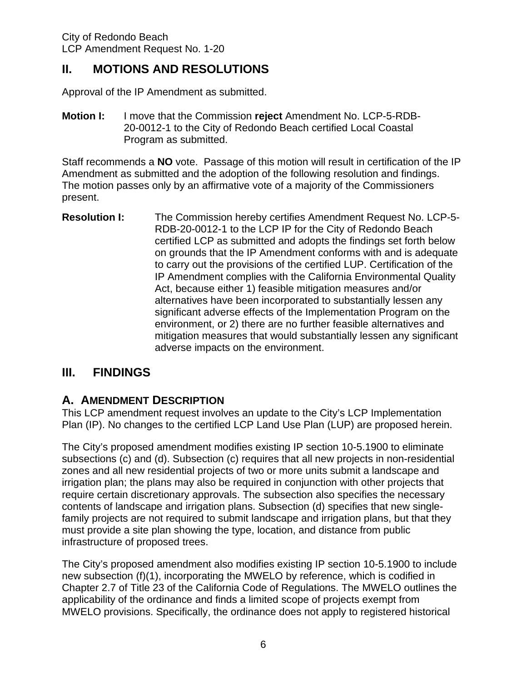City of Redondo Beach LCP Amendment Request No. 1-20

# **II. MOTIONS AND RESOLUTIONS**

Approval of the IP Amendment as submitted.

**Motion I:** I move that the Commission **reject** Amendment No. LCP-5-RDB-20-0012-1 to the City of Redondo Beach certified Local Coastal Program as submitted.

Staff recommends a **NO** vote. Passage of this motion will result in certification of the IP Amendment as submitted and the adoption of the following resolution and findings. The motion passes only by an affirmative vote of a majority of the Commissioners present.

**Resolution I:** The Commission hereby certifies Amendment Request No. LCP-5- RDB-20-0012-1 to the LCP IP for the City of Redondo Beach certified LCP as submitted and adopts the findings set forth below on grounds that the IP Amendment conforms with and is adequate to carry out the provisions of the certified LUP. Certification of the IP Amendment complies with the California Environmental Quality Act, because either 1) feasible mitigation measures and/or alternatives have been incorporated to substantially lessen any significant adverse effects of the Implementation Program on the environment, or 2) there are no further feasible alternatives and mitigation measures that would substantially lessen any significant adverse impacts on the environment.

# <span id="page-5-0"></span>**III. FINDINGS**

## <span id="page-5-1"></span>**A. AMENDMENT DESCRIPTION**

This LCP amendment request involves an update to the City's LCP Implementation Plan (IP). No changes to the certified LCP Land Use Plan (LUP) are proposed herein.

The City's proposed amendment modifies existing IP section 10-5.1900 to eliminate subsections (c) and (d). Subsection (c) requires that all new projects in non-residential zones and all new residential projects of two or more units submit a landscape and irrigation plan; the plans may also be required in conjunction with other projects that require certain discretionary approvals. The subsection also specifies the necessary contents of landscape and irrigation plans. Subsection (d) specifies that new singlefamily projects are not required to submit landscape and irrigation plans, but that they must provide a site plan showing the type, location, and distance from public infrastructure of proposed trees.

The City's proposed amendment also modifies existing IP section 10-5.1900 to include new subsection (f)(1), incorporating the MWELO by reference, which is codified in Chapter 2.7 of Title 23 of the California Code of Regulations. The MWELO outlines the applicability of the ordinance and finds a limited scope of projects exempt from MWELO provisions. Specifically, the ordinance does not apply to registered historical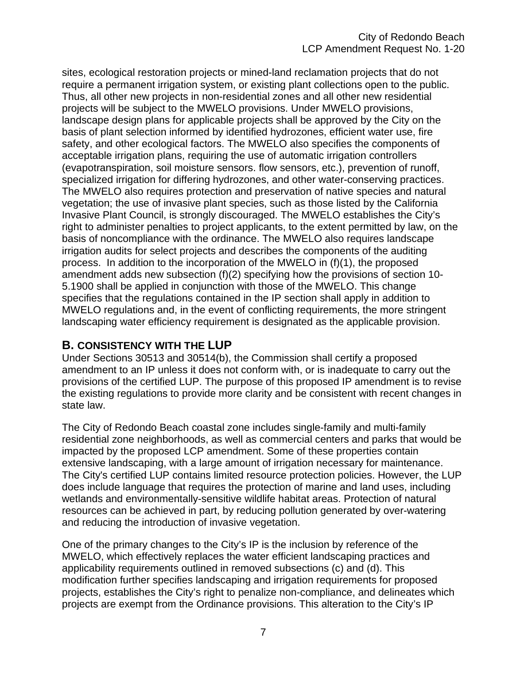sites, ecological restoration projects or mined-land reclamation projects that do not require a permanent irrigation system, or existing plant collections open to the public. Thus, all other new projects in non-residential zones and all other new residential projects will be subject to the MWELO provisions. Under MWELO provisions, landscape design plans for applicable projects shall be approved by the City on the basis of plant selection informed by identified hydrozones, efficient water use, fire safety, and other ecological factors. The MWELO also specifies the components of acceptable irrigation plans, requiring the use of automatic irrigation controllers (evapotranspiration, soil moisture sensors. flow sensors, etc.), prevention of runoff, specialized irrigation for differing hydrozones, and other water-conserving practices. The MWELO also requires protection and preservation of native species and natural vegetation; the use of invasive plant species, such as those listed by the California Invasive Plant Council, is strongly discouraged. The MWELO establishes the City's right to administer penalties to project applicants, to the extent permitted by law, on the basis of noncompliance with the ordinance. The MWELO also requires landscape irrigation audits for select projects and describes the components of the auditing process. In addition to the incorporation of the MWELO in (f)(1), the proposed amendment adds new subsection (f)(2) specifying how the provisions of section 10- 5.1900 shall be applied in conjunction with those of the MWELO. This change specifies that the regulations contained in the IP section shall apply in addition to MWELO regulations and, in the event of conflicting requirements, the more stringent landscaping water efficiency requirement is designated as the applicable provision.

# <span id="page-6-0"></span>**B. CONSISTENCY WITH THE LUP**

Under Sections 30513 and 30514(b), the Commission shall certify a proposed amendment to an IP unless it does not conform with, or is inadequate to carry out the provisions of the certified LUP. The purpose of this proposed IP amendment is to revise the existing regulations to provide more clarity and be consistent with recent changes in state law.

The City of Redondo Beach coastal zone includes single-family and multi-family residential zone neighborhoods, as well as commercial centers and parks that would be impacted by the proposed LCP amendment. Some of these properties contain extensive landscaping, with a large amount of irrigation necessary for maintenance. The City's certified LUP contains limited resource protection policies. However, the LUP does include language that requires the protection of marine and land uses, including wetlands and environmentally-sensitive wildlife habitat areas. Protection of natural resources can be achieved in part, by reducing pollution generated by over-watering and reducing the introduction of invasive vegetation.

One of the primary changes to the City's IP is the inclusion by reference of the MWELO, which effectively replaces the water efficient landscaping practices and applicability requirements outlined in removed subsections (c) and (d). This modification further specifies landscaping and irrigation requirements for proposed projects, establishes the City's right to penalize non-compliance, and delineates which projects are exempt from the Ordinance provisions. This alteration to the City's IP